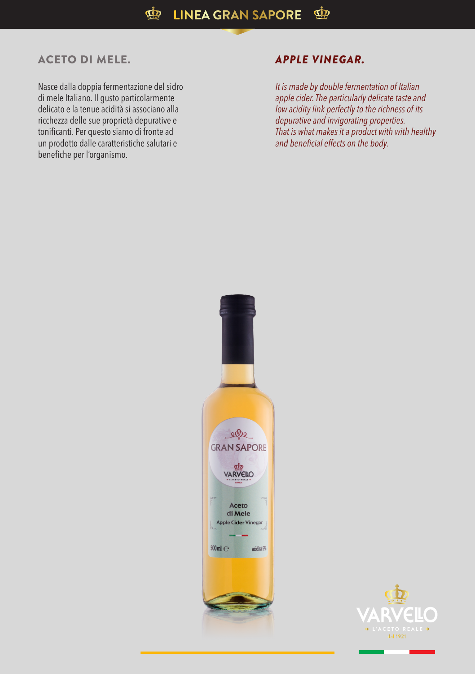## ACETO DI MELE. *APPLE VINEGAR.*

Nasce dalla doppia fermentazione del sidro di mele Italiano. Il gusto particolarmente delicato e la tenue acidità si associano alla ricchezza delle sue proprietà depurative e tonificanti. Per questo siamo di fronte ad un prodotto dalle caratteristiche salutari e benefiche per l'organismo.

*It is made by double fermentation of Italian apple cider. The particularly delicate taste and low acidity link perfectly to the richness of its depurative and invigorating properties. That is what makes it a product with with healthy and beneficial effects on the body.*